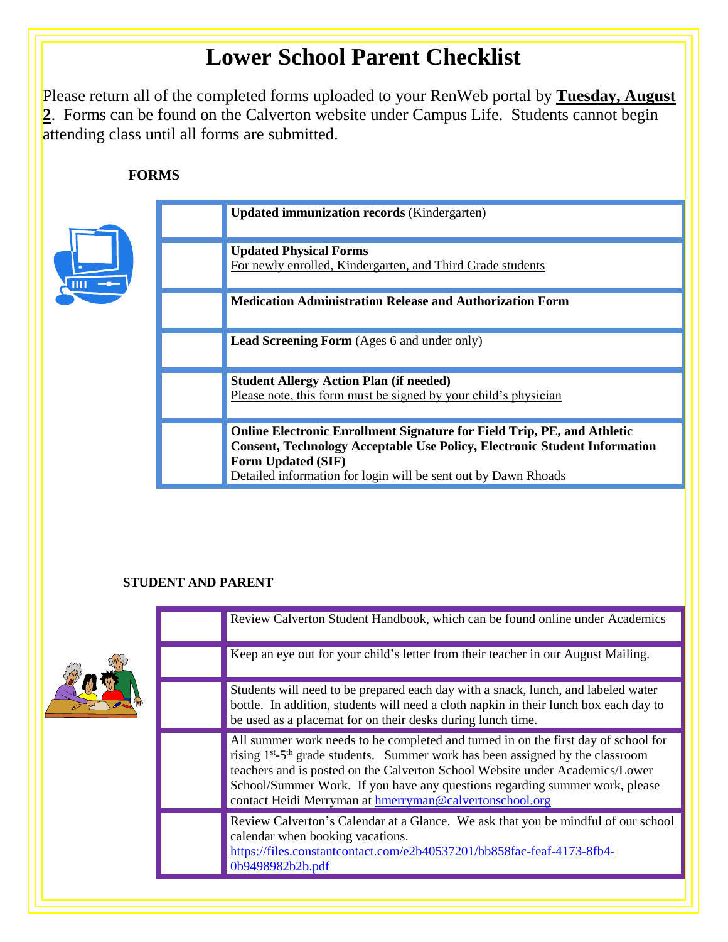# **Lower School Parent Checklist**

Please return all of the completed forms uploaded to your RenWeb portal by **Tuesday, August 2**. Forms can be found on the Calverton website under Campus Life. Students cannot begin attending class until all forms are submitted.

# **FORMS**



# **STUDENT AND PARENT**

|  | Review Calverton Student Handbook, which can be found online under Academics                                                                                                                                                                                                                                                                                                                                           |
|--|------------------------------------------------------------------------------------------------------------------------------------------------------------------------------------------------------------------------------------------------------------------------------------------------------------------------------------------------------------------------------------------------------------------------|
|  | Keep an eye out for your child's letter from their teacher in our August Mailing.                                                                                                                                                                                                                                                                                                                                      |
|  | Students will need to be prepared each day with a snack, lunch, and labeled water<br>bottle. In addition, students will need a cloth napkin in their lunch box each day to<br>be used as a placemat for on their desks during lunch time.                                                                                                                                                                              |
|  | All summer work needs to be completed and turned in on the first day of school for<br>rising 1 <sup>st</sup> -5 <sup>th</sup> grade students. Summer work has been assigned by the classroom<br>teachers and is posted on the Calverton School Website under Academics/Lower<br>School/Summer Work. If you have any questions regarding summer work, please<br>contact Heidi Merryman at hmerryman@calvertonschool.org |
|  | Review Calverton's Calendar at a Glance. We ask that you be mindful of our school<br>calendar when booking vacations.<br>https://files.constantcontact.com/e2b40537201/bb858fac-feaf-4173-8fb4-<br>0b9498982b2b.pdf                                                                                                                                                                                                    |
|  |                                                                                                                                                                                                                                                                                                                                                                                                                        |